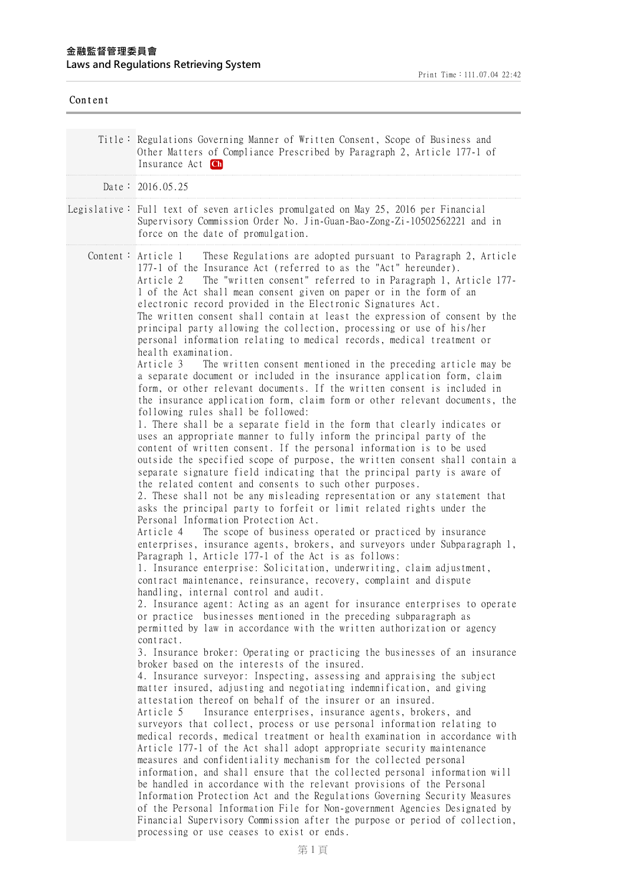| Content |                                                                                                                                                                                                                                                                                                                                                                                                                                                                                                                                                                                                                                                                                                                                                                                                                                                                                                                                                                                                                                                                                                                                                                                                                                                                                                                                                                                                                                                                                                                                                                                                                                                                                                                                                                                                                                                                                                                                                                                                                                                                                                                                                                                                                                                                                                                                                                                                                                                                                                                                                                                                                                                                                                                                                                                                                                                                                                                                                                                                                                                                                                                                                                                                                                                                                                                                                                                                                                                                                             |
|---------|---------------------------------------------------------------------------------------------------------------------------------------------------------------------------------------------------------------------------------------------------------------------------------------------------------------------------------------------------------------------------------------------------------------------------------------------------------------------------------------------------------------------------------------------------------------------------------------------------------------------------------------------------------------------------------------------------------------------------------------------------------------------------------------------------------------------------------------------------------------------------------------------------------------------------------------------------------------------------------------------------------------------------------------------------------------------------------------------------------------------------------------------------------------------------------------------------------------------------------------------------------------------------------------------------------------------------------------------------------------------------------------------------------------------------------------------------------------------------------------------------------------------------------------------------------------------------------------------------------------------------------------------------------------------------------------------------------------------------------------------------------------------------------------------------------------------------------------------------------------------------------------------------------------------------------------------------------------------------------------------------------------------------------------------------------------------------------------------------------------------------------------------------------------------------------------------------------------------------------------------------------------------------------------------------------------------------------------------------------------------------------------------------------------------------------------------------------------------------------------------------------------------------------------------------------------------------------------------------------------------------------------------------------------------------------------------------------------------------------------------------------------------------------------------------------------------------------------------------------------------------------------------------------------------------------------------------------------------------------------------------------------------------------------------------------------------------------------------------------------------------------------------------------------------------------------------------------------------------------------------------------------------------------------------------------------------------------------------------------------------------------------------------------------------------------------------------------------------------------------------|
|         | Title: Regulations Governing Manner of Written Consent, Scope of Business and<br>Other Matters of Compliance Prescribed by Paragraph 2, Article 177-1 of<br>Insurance Act Ch                                                                                                                                                                                                                                                                                                                                                                                                                                                                                                                                                                                                                                                                                                                                                                                                                                                                                                                                                                                                                                                                                                                                                                                                                                                                                                                                                                                                                                                                                                                                                                                                                                                                                                                                                                                                                                                                                                                                                                                                                                                                                                                                                                                                                                                                                                                                                                                                                                                                                                                                                                                                                                                                                                                                                                                                                                                                                                                                                                                                                                                                                                                                                                                                                                                                                                                |
|         | Date: $2016.05.25$                                                                                                                                                                                                                                                                                                                                                                                                                                                                                                                                                                                                                                                                                                                                                                                                                                                                                                                                                                                                                                                                                                                                                                                                                                                                                                                                                                                                                                                                                                                                                                                                                                                                                                                                                                                                                                                                                                                                                                                                                                                                                                                                                                                                                                                                                                                                                                                                                                                                                                                                                                                                                                                                                                                                                                                                                                                                                                                                                                                                                                                                                                                                                                                                                                                                                                                                                                                                                                                                          |
|         | Legislative: Full text of seven articles promulgated on May 25, 2016 per Financial<br>Supervisory Commission Order No. Jin-Guan-Bao-Zong-Zi-10502562221 and in<br>force on the date of promulgation.                                                                                                                                                                                                                                                                                                                                                                                                                                                                                                                                                                                                                                                                                                                                                                                                                                                                                                                                                                                                                                                                                                                                                                                                                                                                                                                                                                                                                                                                                                                                                                                                                                                                                                                                                                                                                                                                                                                                                                                                                                                                                                                                                                                                                                                                                                                                                                                                                                                                                                                                                                                                                                                                                                                                                                                                                                                                                                                                                                                                                                                                                                                                                                                                                                                                                        |
|         | Content: Article 1<br>These Regulations are adopted pursuant to Paragraph 2, Article<br>177-1 of the Insurance Act (referred to as the "Act" hereunder).<br>The "written consent" referred to in Paragraph 1, Article 177-<br>Article 2<br>1 of the Act shall mean consent given on paper or in the form of an<br>electronic record provided in the Electronic Signatures Act.<br>The written consent shall contain at least the expression of consent by the<br>principal party allowing the collection, processing or use of his/her<br>personal information relating to medical records, medical treatment or<br>health examination.<br>Article 3<br>The written consent mentioned in the preceding article may be<br>a separate document or included in the insurance application form, claim<br>form, or other relevant documents. If the written consent is included in<br>the insurance application form, claim form or other relevant documents, the<br>following rules shall be followed:<br>1. There shall be a separate field in the form that clearly indicates or<br>uses an appropriate manner to fully inform the principal party of the<br>content of written consent. If the personal information is to be used<br>outside the specified scope of purpose, the written consent shall contain a<br>separate signature field indicating that the principal party is aware of<br>the related content and consents to such other purposes.<br>2. These shall not be any misleading representation or any statement that<br>asks the principal party to forfeit or limit related rights under the<br>Personal Information Protection Act.<br>The scope of business operated or practiced by insurance<br>Article 4<br>enterprises, insurance agents, brokers, and surveyors under Subparagraph 1,<br>Paragraph 1, Article 177-1 of the Act is as follows:<br>1. Insurance enterprise: Solicitation, underwriting, claim adjustment,<br>contract maintenance, reinsurance, recovery, complaint and dispute<br>handling, internal control and audit.<br>2. Insurance agent: Acting as an agent for insurance enterprises to operate<br>or practice businesses mentioned in the preceding subparagraph as<br>permitted by law in accordance with the written authorization or agency<br>contract.<br>3. Insurance broker: Operating or practicing the businesses of an insurance<br>broker based on the interests of the insured.<br>4. Insurance surveyor: Inspecting, assessing and appraising the subject<br>matter insured, adjusting and negotiating indemnification, and giving<br>attestation thereof on behalf of the insurer or an insured.<br>Insurance enterprises, insurance agents, brokers, and<br>Article 5<br>surveyors that collect, process or use personal information relating to<br>medical records, medical treatment or health examination in accordance with<br>Article 177-1 of the Act shall adopt appropriate security maintenance<br>measures and confidentiality mechanism for the collected personal<br>information, and shall ensure that the collected personal information will<br>be handled in accordance with the relevant provisions of the Personal<br>Information Protection Act and the Regulations Governing Security Measures<br>of the Personal Information File for Non-government Agencies Designated by<br>Financial Supervisory Commission after the purpose or period of collection,<br>processing or use ceases to exist or ends. |